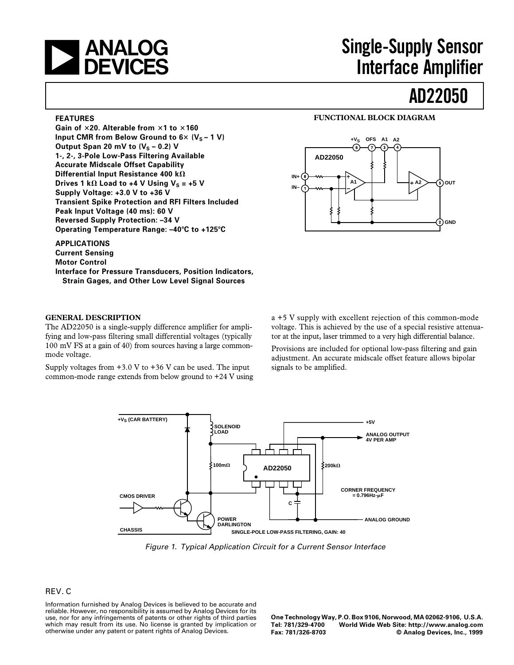

# **The Supply Sensor<br>
I DEVICES** The Single-Supply Sensor<br> **Single-Supply Sensor**<br>
Interface Amplifier **Interface Amplifier**

# **AD22050**

#### **FEATURES**

**Gain of** 3**20. Alterable from** 3**1 to** 3**160 Input CMR from Below Ground to**  $6 \times (V_s - 1 V)$ Output Span 20 mV to  $(V<sub>S</sub> - 0.2)$  V **1-, 2-, 3-Pole Low-Pass Filtering Available Accurate Midscale Offset Capability Differential Input Resistance 400 k** $\Omega$ **Drives 1 k** $\Omega$  **Load to +4 V Using V<sub>S</sub> = +5 V Supply Voltage: +3.0 V to +36 V Transient Spike Protection and RFI Filters Included Peak Input Voltage (40 ms): 60 V Reversed Supply Protection: –34 V Operating Temperature Range: –40**8**C to +125**8**C**

**APPLICATIONS Current Sensing Motor Control Interface for Pressure Transducers, Position Indicators, Strain Gages, and Other Low Level Signal Sources**

## **GENERAL DESCRIPTION**

The AD22050 is a single-supply difference amplifier for amplifying and low-pass filtering small differential voltages (typically 100 mV FS at a gain of 40) from sources having a large commonmode voltage.

Supply voltages from  $+3.0$  V to  $+36$  V can be used. The input common-mode range extends from below ground to +24 V using



**FUNCTIONAL BLOCK DIAGRAM**

a +5 V supply with excellent rejection of this common-mode voltage. This is achieved by the use of a special resistive attenuator at the input, laser trimmed to a very high differential balance.

Provisions are included for optional low-pass filtering and gain adjustment. An accurate midscale offset feature allows bipolar signals to be amplified.



Figure 1. Typical Application Circuit for a Current Sensor Interface

# REV. C

Information furnished by Analog Devices is believed to be accurate and reliable. However, no responsibility is assumed by Analog Devices for its use, nor for any infringements of patents or other rights of third parties which may result from its use. No license is granted by implication or otherwise under any patent or patent rights of Analog Devices.

**One Technology Way, P.O. Box 9106, Norwood, MA 02062-9106, U.S.A. Tel: 781/329-4700 World Wide Web Site: http://www.analog.com**  $©$  Analog Devices, Inc., 1999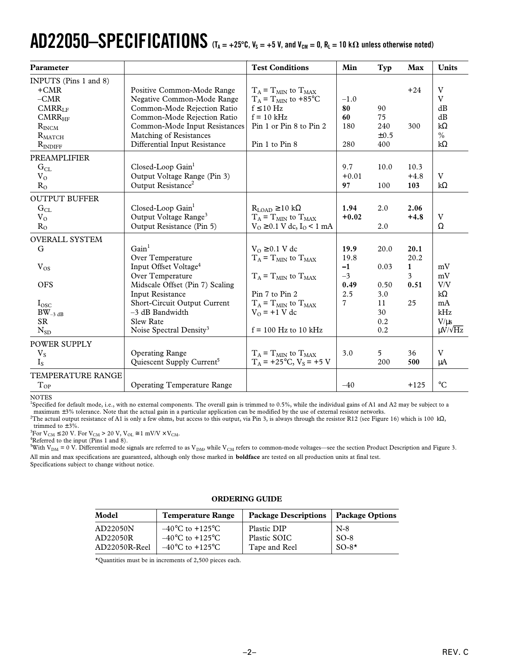# $AD22050-SPECIFICATIONS$  (T<sub>A</sub> = +25°C, V<sub>S</sub> = +5 V, and V<sub>CM</sub> = 0, R<sub>L</sub> = 10 k $\Omega$  unless otherwise noted)

| Parameter             |                                       | <b>Test Conditions</b>               | Min     | Typ       | <b>Max</b>   | <b>Units</b>        |
|-----------------------|---------------------------------------|--------------------------------------|---------|-----------|--------------|---------------------|
| INPUTS (Pins 1 and 8) |                                       |                                      |         |           |              |                     |
| $+CMR$                | Positive Common-Mode Range            | $T_A = T_{MIN}$ to $T_{MAX}$         |         |           | $+24$        | V                   |
| $-CMR$                | Negative Common-Mode Range            | $T_A = T_{MIN}$ to +85°C             | $-1.0$  |           |              | V                   |
| CMRR <sub>IF</sub>    | Common-Mode Rejection Ratio           | $f \leq 10$ Hz                       | 80      | 90        |              | dB                  |
| CMRR <sub>HF</sub>    | Common-Mode Rejection Ratio           | $f = 10$ kHz                         | 60      | 75        |              | dB                  |
| $R_{INCM}$            | Common-Mode Input Resistances         | Pin 1 or Pin 8 to Pin 2              | 180     | 240       | 300          | $k\Omega$           |
| $R_{\text{MATCH}}$    | Matching of Resistances               |                                      |         | $\pm 0.5$ |              | $\frac{0}{0}$       |
| $R_{INDIFF}$          | Differential Input Resistance         | Pin 1 to Pin 8                       | 280     | 400       |              | $k\Omega$           |
| PREAMPLIFIER          |                                       |                                      |         |           |              |                     |
| $G_{CL}$              | Closed-Loop Gain <sup>1</sup>         |                                      | 9.7     | 10.0      | 10.3         |                     |
| $V_{O}$               | Output Voltage Range (Pin 3)          |                                      | $+0.01$ |           | $+4.8$       | V                   |
| $R_{\Omega}$          | Output Resistance <sup>2</sup>        |                                      | 97      | 100       | 103          | $k\Omega$           |
| <b>OUTPUT BUFFER</b>  |                                       |                                      |         |           |              |                     |
| $\rm G_{CL}$          | Closed-Loop Gain <sup>1</sup>         | $R_{LOAD} \ge 10 k\Omega$            | 1.94    | 2.0       | 2.06         |                     |
| $V_{O}$               | Output Voltage Range <sup>3</sup>     | $T_A = T_{MIN}$ to $T_{MAX}$         | $+0.02$ |           | $+4.8$       | V                   |
| $R_{O}$               | Output Resistance (Pin 5)             | $V_0 \ge 0.1$ V dc, $I_0 \le 1$ mA   |         | 2.0       |              | Ω                   |
| <b>OVERALL SYSTEM</b> |                                       |                                      |         |           |              |                     |
| G                     | Gain <sup>1</sup>                     | $V_0 \geq 0.1$ V dc                  | 19.9    | 20.0      | 20.1         |                     |
|                       | Over Temperature                      | $T_A = T_{MIN}$ to $T_{MAX}$         | 19.8    |           | 20.2         |                     |
| $V_{OS}$              | Input Offset Voltage <sup>4</sup>     |                                      | $-1$    | 0.03      | $\mathbf{1}$ | mV                  |
|                       | Over Temperature                      | $T_A = T_{MIN}$ to $T_{MAX}$         | $-3$    |           | 3            | $\rm mV$            |
| <b>OFS</b>            | Midscale Offset (Pin 7) Scaling       |                                      | 0.49    | 0.50      | 0.51         | V/V                 |
|                       | <b>Input Resistance</b>               | Pin 7 to Pin 2                       | 2.5     | 3.0       |              | $k\Omega$           |
| $I_{\rm osc}$         | Short-Circuit Output Current          | $T_A = T_{MIN}$ to $T_{MAX}$         | 7       | 11        | 25           | mA                  |
| $BW_{-3 dB}$          | $-3$ dB Bandwidth                     | $V_0$ = +1 V dc                      |         | 30        |              | kHz                 |
| <b>SR</b>             | Slew Rate                             |                                      |         | 0.2       |              | $V/\mu s$           |
| $N_{SD}$              | Noise Spectral Density <sup>3</sup>   | $f = 100$ Hz to 10 kHz               |         | 0.2       |              | $\mu V / \sqrt{Hz}$ |
| <b>POWER SUPPLY</b>   |                                       |                                      |         |           |              |                     |
| $V_S$                 | <b>Operating Range</b>                | $T_A = T_{MIN}$ to $T_{MAX}$         | 3.0     | 5         | 36           | V                   |
| $I_{S}$               | Quiescent Supply Current <sup>5</sup> | $T_A$ = +25°C, V <sub>s</sub> = +5 V |         | 200       | 500          | $\mu A$             |
| TEMPERATURE RANGE     |                                       |                                      |         |           |              |                     |
| $T_{OP}$              | <b>Operating Temperature Range</b>    |                                      | $-40$   |           | $+125$       | $\rm ^{\circ}C$     |

NOTES

<sup>1</sup>Specified for default mode, i.e., with no external components. The overall gain is trimmed to 0.5%, while the individual gains of A1 and A2 may be subject to a maximum ±3% tolerance. Note that the actual gain in a particular application can be modified by the use of external resistor networks.

 $^2$ The actual output resistance of A1 is only a few ohms, but access to this output, via Pin 3, is always through the resistor R12 (see Figure 16) which is 100 kΩ, trimmed to  $\pm 3\%$ .

<sup>3</sup>For  $V_{CM} \le 20$  V. For  $V_{CM} > 20$  V,  $V_{OL} \cong 1$  mV/V  $\times$  V<sub>CM</sub>.<br><sup>4</sup>Referred to the input (Pins 1 and 8)

<sup>4</sup>Referred to the input (Pins 1 and 8).

 $^{5}$ With V<sub>DM</sub> = 0 V. Differential mode signals are referred to as V<sub>DM</sub>, while V<sub>CM</sub> refers to common-mode voltages—see the section Product Description and Figure 3. All min and max specifications are guaranteed, although only those marked in **boldface** are tested on all production units at final test. Specifications subject to change without notice.

## **ORDERING GUIDE**

| Model         | <b>Temperature Range</b>            | <b>Package Descriptions</b> | <b>Package Options</b> |
|---------------|-------------------------------------|-----------------------------|------------------------|
| AD22050N      | $-40^{\circ}$ C to $+125^{\circ}$ C | Plastic DIP                 | $N-8$                  |
| AD22050R      | $-40^{\circ}$ C to $+125^{\circ}$ C | Plastic SOIC                | $SO-8$                 |
| AD22050R-Reel | $-40^{\circ}$ C to $+125^{\circ}$ C | Tape and Reel               | $SO-8^{\star}$         |

\*Quantities must be in increments of 2,500 pieces each.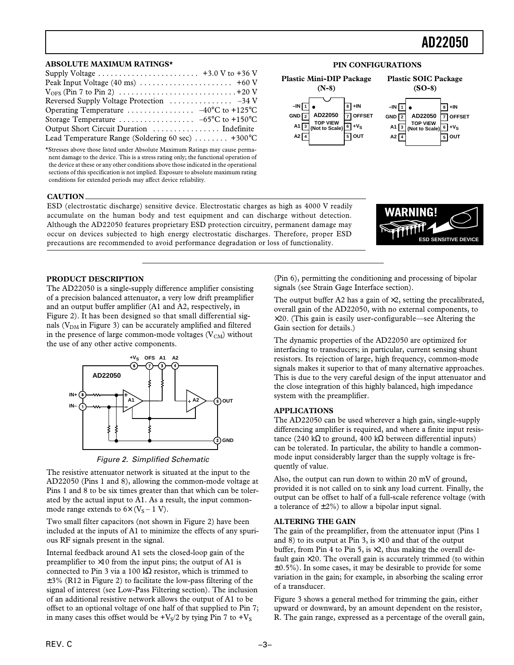**8 +IN 7 OFFSET 6 +VS 5 OUT**

**Plastic SOIC Package (SO-8)**

> **TOP VIEW (Not to Scale)**

**AD22050**

#### **ABSOLUTE MAXIMUM RATINGS\***

| Supply Voltage $\dots \dots \dots \dots \dots \dots \dots \dots +3.0$ V to +36 V |  |
|----------------------------------------------------------------------------------|--|
|                                                                                  |  |
|                                                                                  |  |
|                                                                                  |  |
| Operating Temperature $-40^{\circ}$ C to $+125^{\circ}$ C                        |  |
|                                                                                  |  |
|                                                                                  |  |
| Lead Temperature Range (Soldering 60 sec) $\dots \dots$ +300°C                   |  |

\*Stresses above those listed under Absolute Maximum Ratings may cause permanent damage to the device. This is a stress rating only; the functional operation of the device at these or any other conditions above those indicated in the operational sections of this specification is not implied. Exposure to absolute maximum rating conditions for extended periods may affect device reliability.

#### **CAUTION**

ESD (electrostatic discharge) sensitive device. Electrostatic charges as high as 4000 V readily accumulate on the human body and test equipment and can discharge without detection. Although the AD22050 features proprietary ESD protection circuitry, permanent damage may occur on devices subjected to high energy electrostatic discharges. Therefore, proper ESD precautions are recommended to avoid performance degradation or loss of functionality.



# **PRODUCT DESCRIPTION**

The AD22050 is a single-supply difference amplifier consisting of a precision balanced attenuator, a very low drift preamplifier and an output buffer amplifier (A1 and A2, respectively, in Figure 2). It has been designed so that small differential signals ( $V<sub>DM</sub>$  in Figure 3) can be accurately amplified and filtered in the presence of large common-mode voltages  $(V<sub>CM</sub>)$  without the use of any other active components.





The resistive attenuator network is situated at the input to the AD22050 (Pins 1 and 8), allowing the common-mode voltage at Pins 1 and 8 to be six times greater than that which can be tolerated by the actual input to A1. As a result, the input commonmode range extends to  $6\times$  (V<sub>S</sub> – 1 V).

Two small filter capacitors (not shown in Figure 2) have been included at the inputs of A1 to minimize the effects of any spurious RF signals present in the signal.

Internal feedback around A1 sets the closed-loop gain of the preamplifier to  $\times 10$  from the input pins; the output of A1 is connected to Pin 3 via a 100 kΩ resistor, which is trimmed to  $\pm$ 3% (R12 in Figure 2) to facilitate the low-pass filtering of the signal of interest (see Low-Pass Filtering section). The inclusion of an additional resistive network allows the output of A1 to be offset to an optional voltage of one half of that supplied to Pin 7; in many cases this offset would be  $+V<sub>S</sub>/2$  by tying Pin 7 to  $+V<sub>S</sub>$ 

(Pin 6), permitting the conditioning and processing of bipolar signals (see Strain Gage Interface section).

The output buffer A2 has a gain of  $\times 2$ , setting the precalibrated, overall gain of the AD22050, with no external components, to  $\times$ 20. (This gain is easily user-configurable—see Altering the Gain section for details.)

The dynamic properties of the AD22050 are optimized for interfacing to transducers; in particular, current sensing shunt resistors. Its rejection of large, high frequency, common-mode signals makes it superior to that of many alternative approaches. This is due to the very careful design of the input attenuator and the close integration of this highly balanced, high impedance system with the preamplifier.

#### **APPLICATIONS**

The AD22050 can be used wherever a high gain, single-supply differencing amplifier is required, and where a finite input resistance (240 kΩ to ground, 400 kΩ between differential inputs) can be tolerated. In particular, the ability to handle a commonmode input considerably larger than the supply voltage is frequently of value.

Also, the output can run down to within 20 mV of ground, provided it is not called on to sink any load current. Finally, the output can be offset to half of a full-scale reference voltage (with a tolerance of  $\pm 2\%$ ) to allow a bipolar input signal.

#### **ALTERING THE GAIN**

The gain of the preamplifier, from the attenuator input (Pins 1 and 8) to its output at Pin 3, is  $\times$ 10 and that of the output buffer, from Pin 4 to Pin 5, is  $\times 2$ , thus making the overall default gain  $\times 20$ . The overall gain is accurately trimmed (to within  $\pm 0.5$ %). In some cases, it may be desirable to provide for some variation in the gain; for example, in absorbing the scaling error of a transducer.

Figure 3 shows a general method for trimming the gain, either upward or downward, by an amount dependent on the resistor, R. The gain range, expressed as a percentage of the overall gain,

# **PIN CONFIGURATIONS**

**1 –IN 2 3 A1 4 A2**

**GND**

**Plastic Mini-DIP Package (N-8)**

> **TOP VIEW (Not to Scale)**

**AD22050**

**1 –IN 2 GND 3 A1**  $A2\sqrt{4}$ 

**5 A2 OUT**

**8 +IN 7 OFFSET 6 +VS**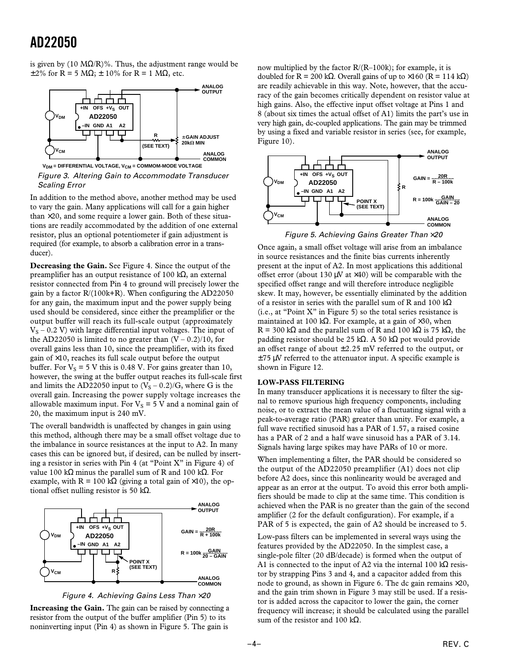is given by (10 M $\Omega$ /R)%. Thus, the adjustment range would be  $\pm 2\%$  for R = 5 MΩ;  $\pm$  10% for R = 1 MΩ, etc.



Figure 3. Altering Gain to Accommodate Transducer Scaling Error

In addition to the method above, another method may be used to vary the gain. Many applications will call for a gain higher than  $\times$ 20, and some require a lower gain. Both of these situations are readily accommodated by the addition of one external resistor, plus an optional potentiometer if gain adjustment is required (for example, to absorb a calibration error in a transducer).

**Decreasing the Gain.** See Figure 4. Since the output of the preamplifier has an output resistance of 100 kΩ, an external resistor connected from Pin 4 to ground will precisely lower the gain by a factor R/(100k+R). When configuring the AD22050 for any gain, the maximum input and the power supply being used should be considered, since either the preamplifier or the output buffer will reach its full-scale output (approximately  $V<sub>S</sub>$  – 0.2 V) with large differential input voltages. The input of the AD22050 is limited to no greater than  $(V - 0.2)/10$ , for overall gains less than 10, since the preamplifier, with its fixed gain of  $\times$ 10, reaches its full scale output before the output buffer. For  $V_s = 5$  V this is 0.48 V. For gains greater than 10, however, the swing at the buffer output reaches its full-scale first and limits the AD22050 input to  $(V<sub>S</sub> - 0.2)/G$ , where G is the overall gain. Increasing the power supply voltage increases the allowable maximum input. For  $V_S = 5$  V and a nominal gain of 20, the maximum input is 240 mV.

The overall bandwidth is unaffected by changes in gain using this method, although there may be a small offset voltage due to the imbalance in source resistances at the input to A2. In many cases this can be ignored but, if desired, can be nulled by inserting a resistor in series with Pin 4 (at "Point X" in Figure 4) of value 100 kΩ minus the parallel sum of R and 100 kΩ. For example, with  $R = 100 \text{ k}\Omega$  (giving a total gain of ×10), the optional offset nulling resistor is 50 kΩ.





**Increasing the Gain.** The gain can be raised by connecting a resistor from the output of the buffer amplifier (Pin 5) to its noninverting input (Pin 4) as shown in Figure 5. The gain is

now multiplied by the factor  $R/(R-100k)$ ; for example, it is doubled for R = 200 kΩ. Overall gains of up to  $\times$ 160 (R = 114 kΩ) are readily achievable in this way. Note, however, that the accuracy of the gain becomes critically dependent on resistor value at high gains. Also, the effective input offset voltage at Pins 1 and 8 (about six times the actual offset of A1) limits the part's use in very high gain, dc-coupled applications. The gain may be trimmed by using a fixed and variable resistor in series (see, for example, Figure 10).



Once again, a small offset voltage will arise from an imbalance in source resistances and the finite bias currents inherently present at the input of A2. In most applications this additional offset error (about 130  $\mu$ V at  $\times$ 40) will be comparable with the specified offset range and will therefore introduce negligible skew. It may, however, be essentially eliminated by the addition of a resistor in series with the parallel sum of R and 100 kΩ (i.e., at "Point X" in Figure 5) so the total series resistance is maintained at 100 kΩ. For example, at a gain of  $\times$ 30, when R = 300 kΩ and the parallel sum of R and 100 kΩ is 75 kΩ, the padding resistor should be 25 kΩ. A 50 kΩ pot would provide an offset range of about  $\pm 2.25$  mV referred to the output, or  $\pm$ 75 µV referred to the attenuator input. A specific example is shown in Figure 12.

#### **LOW-PASS FILTERING**

In many transducer applications it is necessary to filter the signal to remove spurious high frequency components, including noise, or to extract the mean value of a fluctuating signal with a peak-to-average ratio (PAR) greater than unity. For example, a full wave rectified sinusoid has a PAR of 1.57, a raised cosine has a PAR of 2 and a half wave sinusoid has a PAR of 3.14. Signals having large spikes may have PARs of 10 or more.

When implementing a filter, the PAR should be considered so the output of the AD22050 preamplifier (A1) does not clip before A2 does, since this nonlinearity would be averaged and appear as an error at the output. To avoid this error both amplifiers should be made to clip at the same time. This condition is achieved when the PAR is no greater than the gain of the second amplifier (2 for the default configuration). For example, if a PAR of 5 is expected, the gain of A2 should be increased to 5.

Low-pass filters can be implemented in several ways using the features provided by the AD22050. In the simplest case, a single-pole filter (20 dB/decade) is formed when the output of A1 is connected to the input of A2 via the internal 100 k $\Omega$  resistor by strapping Pins 3 and 4, and a capacitor added from this node to ground, as shown in Figure 6. The dc gain remains  $\times 20$ , and the gain trim shown in Figure 3 may still be used. If a resistor is added across the capacitor to lower the gain, the corner frequency will increase; it should be calculated using the parallel sum of the resistor and 100 kΩ.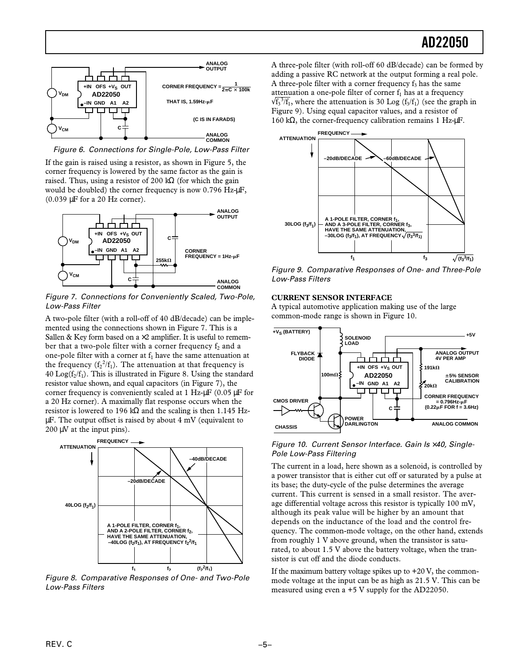

Figure 6. Connections for Single-Pole, Low-Pass Filter

If the gain is raised using a resistor, as shown in Figure 5, the corner frequency is lowered by the same factor as the gain is raised. Thus, using a resistor of 200 k $\Omega$  (for which the gain would be doubled) the corner frequency is now 0.796 Hz- $\mu$ F, (0.039 µF for a 20 Hz corner).



Figure 7. Connections for Conveniently Scaled, Two-Pole, Low-Pass Filter

A two-pole filter (with a roll-off of 40 dB/decade) can be implemented using the connections shown in Figure 7. This is a Sallen & Key form based on a  $\times 2$  amplifier. It is useful to remember that a two-pole filter with a corner frequency  $f_2$  and a one-pole filter with a corner at  $f_1$  have the same attenuation at the frequency  $(f_2^2/f_1)$ . The attenuation at that frequency is 40  $Log(f_2/f_1)$ . This is illustrated in Figure 8. Using the standard resistor value shown, and equal capacitors (in Figure 7), the corner frequency is conveniently scaled at 1 Hz-µF (0.05 µF for a 20 Hz corner). A maximally flat response occurs when the resistor is lowered to 196 k $\Omega$  and the scaling is then 1.145 HzµF. The output offset is raised by about 4 mV (equivalent to  $200 \mu V$  at the input pins).



Figure 8. Comparative Responses of One- and Two-Pole Low-Pass Filters

A three-pole filter (with roll-off 60 dB/decade) can be formed by adding a passive RC network at the output forming a real pole. A three-pole filter with a corner frequency  $f_3$  has the same attenuation a one-pole filter of corner  $f_1$  has at a frequency  $\sqrt{f_3^3/f_1}$ , where the attenuation is 30 Log ( $f_3/f_1$ ) (see the graph in Figure 9). Using equal capacitor values, and a resistor of 160 kΩ, the corner-frequency calibration remains 1 Hz-µF.



Figure 9. Comparative Responses of One- and Three-Pole Low-Pass Filters

## **CURRENT SENSOR INTERFACE**

A typical automotive application making use of the large common-mode range is shown in Figure 10.



## Figure 10. Current Sensor Interface. Gain Is ×40, Single-Pole Low-Pass Filtering

The current in a load, here shown as a solenoid, is controlled by a power transistor that is either cut off or saturated by a pulse at its base; the duty-cycle of the pulse determines the average current. This current is sensed in a small resistor. The average differential voltage across this resistor is typically 100 mV, although its peak value will be higher by an amount that depends on the inductance of the load and the control frequency. The common-mode voltage, on the other hand, extends from roughly 1 V above ground, when the transistor is saturated, to about 1.5 V above the battery voltage, when the transistor is cut off and the diode conducts.

If the maximum battery voltage spikes up to  $+20$  V, the commonmode voltage at the input can be as high as 21.5 V. This can be measured using even a +5 V supply for the AD22050.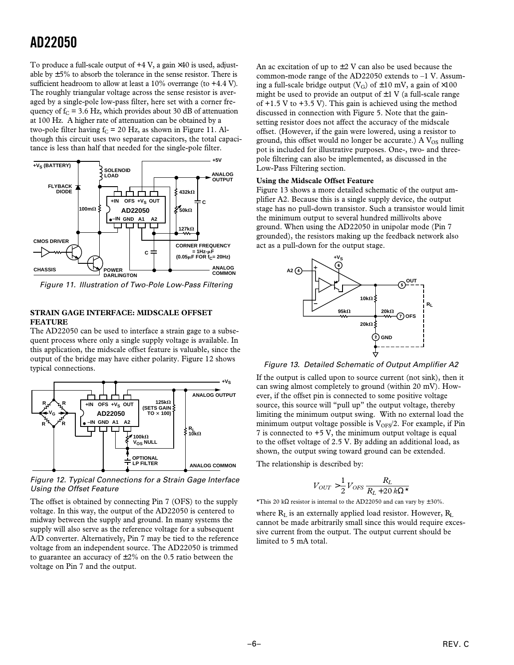To produce a full-scale output of  $+4$  V, a gain  $\times 40$  is used, adjustable by  $\pm$  5% to absorb the tolerance in the sense resistor. There is sufficient headroom to allow at least a 10% overrange (to +4.4 V). The roughly triangular voltage across the sense resistor is averaged by a single-pole low-pass filter, here set with a corner frequency of  $f_c = 3.6$  Hz, which provides about 30 dB of attenuation at 100 Hz. A higher rate of attenuation can be obtained by a two-pole filter having  $f_C = 20$  Hz, as shown in Figure 11. Although this circuit uses two separate capacitors, the total capacitance is less than half that needed for the single-pole filter.



Figure 11. Illustration of Two-Pole Low-Pass Filtering

## **STRAIN GAGE INTERFACE: MIDSCALE OFFSET FEATURE**

The AD22050 can be used to interface a strain gage to a subsequent process where only a single supply voltage is available. In this application, the midscale offset feature is valuable, since the output of the bridge may have either polarity. Figure 12 shows typical connections.



Figure 12. Typical Connections for a Strain Gage Interface Using the Offset Feature

The offset is obtained by connecting Pin 7 (OFS) to the supply voltage. In this way, the output of the AD22050 is centered to midway between the supply and ground. In many systems the supply will also serve as the reference voltage for a subsequent A/D converter. Alternatively, Pin 7 may be tied to the reference voltage from an independent source. The AD22050 is trimmed to guarantee an accuracy of  $\pm 2\%$  on the 0.5 ratio between the voltage on Pin 7 and the output.

An ac excitation of up to  $\pm 2$  V can also be used because the common-mode range of the  $AD22050$  extends to  $-1$  V. Assuming a full-scale bridge output ( $V_G$ ) of  $\pm 10$  mV, a gain of  $\times 100$ might be used to provide an output of  $\pm 1$  V (a full-scale range of  $+1.5$  V to  $+3.5$  V). This gain is achieved using the method discussed in connection with Figure 5. Note that the gainsetting resistor does not affect the accuracy of the midscale offset. (However, if the gain were lowered, using a resistor to ground, this offset would no longer be accurate.) A  $V_{OS}$  nulling pot is included for illustrative purposes. One-, two- and threepole filtering can also be implemented, as discussed in the Low-Pass Filtering section.

# **Using the Midscale Offset Feature**

Figure 13 shows a more detailed schematic of the output amplifier A2. Because this is a single supply device, the output stage has no pull-down transistor. Such a transistor would limit the minimum output to several hundred millivolts above ground. When using the AD22050 in unipolar mode (Pin 7 grounded), the resistors making up the feedback network also act as a pull-down for the output stage.



Figure 13. Detailed Schematic of Output Amplifier A2

If the output is called upon to source current (not sink), then it can swing almost completely to ground (within 20 mV). However, if the offset pin is connected to some positive voltage source, this source will "pull up" the output voltage, thereby limiting the minimum output swing. With no external load the minimum output voltage possible is  $V_{OFS}/2$ . For example, if Pin 7 is connected to +5 V, the minimum output voltage is equal to the offset voltage of 2.5 V. By adding an additional load, as shown, the output swing toward ground can be extended.

The relationship is described by:

$$
V_{OUT} > \frac{1}{2} V_{OFS} \frac{R_L}{R_L + 20 \, k \Omega^{\star}}
$$

\*This 20 kΩ resistor is internal to the AD22050 and can vary by  $\pm 30\%$ .

where  $R_L$  is an externally applied load resistor. However,  $R_L$ cannot be made arbitrarily small since this would require excessive current from the output. The output current should be limited to 5 mA total.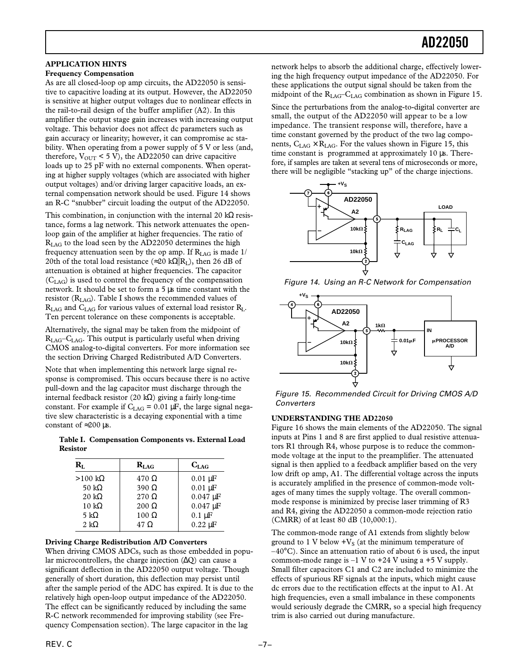# **APPLICATION HINTS**

### **Frequency Compensation**

As are all closed-loop op amp circuits, the AD22050 is sensitive to capacitive loading at its output. However, the AD22050 is sensitive at higher output voltages due to nonlinear effects in the rail-to-rail design of the buffer amplifier (A2). In this amplifier the output stage gain increases with increasing output voltage. This behavior does not affect dc parameters such as gain accuracy or linearity; however, it can compromise ac stability. When operating from a power supply of 5 V or less (and, therefore,  $V_{\text{OUT}}$  < 5 V), the AD22050 can drive capacitive loads up to 25 pF with no external components. When operating at higher supply voltages (which are associated with higher output voltages) and/or driving larger capacitive loads, an external compensation network should be used. Figure 14 shows an R-C "snubber" circuit loading the output of the AD22050.

This combination, in conjunction with the internal 20 kΩ resistance, forms a lag network. This network attenuates the openloop gain of the amplifier at higher frequencies. The ratio of R<sub>LAG</sub> to the load seen by the AD22050 determines the high frequency attenuation seen by the op amp. If  $R_{IAG}$  is made 1/ 20th of the total load resistance (≈20 k $\Omega$ ||R<sub>I</sub>), then 26 dB of attenuation is obtained at higher frequencies. The capacitor (CLAG) is used to control the frequency of the compensation network. It should be set to form a 5 µs time constant with the resistor  $(R<sub>LAG</sub>)$ . Table I shows the recommended values of  $R_{\text{LAG}}$  and  $C_{\text{LAG}}$  for various values of external load resistor  $R_{\text{L}}$ . Ten percent tolerance on these components is acceptable.

Alternatively, the signal may be taken from the midpoint of  $R_{\text{LAG}}$ – $C_{\text{LAG}}$ . This output is particularly useful when driving CMOS analog-to-digital converters. For more information see the section Driving Charged Redistributed A/D Converters.

Note that when implementing this network large signal response is compromised. This occurs because there is no active pull-down and the lag capacitor must discharge through the internal feedback resistor (20 kΩ) giving a fairly long-time constant. For example if  $C_{LAG} = 0.01 \mu F$ , the large signal negative slew characteristic is a decaying exponential with a time constant of  $\approx$  200 µs.

**Table I. Compensation Components vs. External Load Resistor**

| $\mathbf{R}_{\mathrm{I}}$ | $R_{LAG}$    | $C_{LAG}$                  |
|---------------------------|--------------|----------------------------|
| $>100 \text{ k}\Omega$    | $470 \Omega$ | $0.01 \mu F$               |
| 50 k $\Omega$             | $390 \Omega$ | $0.01 \mu F$               |
| $20 \text{ k}\Omega$      | $270 \Omega$ | $0.047 \,\mathrm{\upmu F}$ |
| $10 k\Omega$              | $200 \Omega$ | $0.047 \,\mathrm{\upmu F}$ |
| 5 k $\Omega$              | $100 \Omega$ | $0.1 \mu F$                |
| 2 k $\Omega$              | $47 \Omega$  | $0.22 \mu F$               |

## **Driving Charge Redistribution A/D Converters**

When driving CMOS ADCs, such as those embedded in popular microcontrollers, the charge injection  $(\Delta Q)$  can cause a significant deflection in the AD22050 output voltage. Though generally of short duration, this deflection may persist until after the sample period of the ADC has expired. It is due to the relatively high open-loop output impedance of the AD22050. The effect can be significantly reduced by including the same R-C network recommended for improving stability (see Frequency Compensation section). The large capacitor in the lag

network helps to absorb the additional charge, effectively lowering the high frequency output impedance of the AD22050. For these applications the output signal should be taken from the midpoint of the  $R_{LAG}$ – $C_{LAG}$  combination as shown in Figure 15.

Since the perturbations from the analog-to-digital converter are small, the output of the AD22050 will appear to be a low impedance. The transient response will, therefore, have a time constant governed by the product of the two lag components,  $C_{LAG} \times R_{LAG}$ . For the values shown in Figure 15, this time constant is programmed at approximately 10 µs. Therefore, if samples are taken at several tens of microseconds or more, there will be negligible "stacking up" of the charge injections.



Figure 14. Using an R-C Network for Compensation



Figure 15. Recommended Circuit for Driving CMOS A/D **Converters** 

## **UNDERSTANDING THE AD22050**

Figure 16 shows the main elements of the AD22050. The signal inputs at Pins 1 and 8 are first applied to dual resistive attenuators R1 through R4, whose purpose is to reduce the commonmode voltage at the input to the preamplifier. The attenuated signal is then applied to a feedback amplifier based on the very low drift op amp, A1. The differential voltage across the inputs is accurately amplified in the presence of common-mode voltages of many times the supply voltage. The overall commonmode response is minimized by precise laser trimming of R3 and R4, giving the AD22050 a common-mode rejection ratio (CMRR) of at least 80 dB (10,000:1).

The common-mode range of A1 extends from slightly below ground to 1 V below  $+V_S$  (at the minimum temperature of  $-40^{\circ}$ C). Since an attenuation ratio of about 6 is used, the input common-mode range is  $-1$  V to  $+24$  V using a  $+5$  V supply. Small filter capacitors C1 and C2 are included to minimize the effects of spurious RF signals at the inputs, which might cause dc errors due to the rectification effects at the input to A1. At high frequencies, even a small imbalance in these components would seriously degrade the CMRR, so a special high frequency trim is also carried out during manufacture.